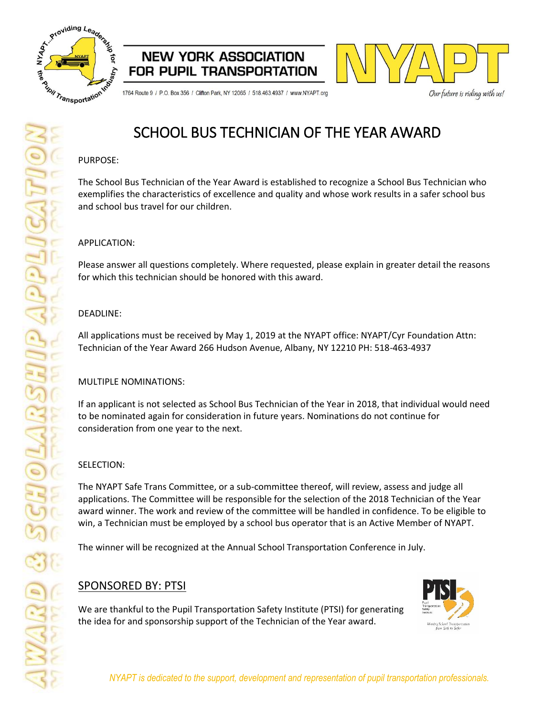





1764 Route 9 / P.O. Box 356 / Clifton Park, NY 12065 / 518.463.4937 / www.NYAPT.org

Our future is riding with us!

## SCHOOL BUS TECHNICIAN OF THE YEAR AWARD

#### PURPOSE:

The School Bus Technician of the Year Award is established to recognize a School Bus Technician who exemplifies the characteristics of excellence and quality and whose work results in a safer school bus and school bus travel for our children.

### APPLICATION:

Please answer all questions completely. Where requested, please explain in greater detail the reasons for which this technician should be honored with this award.

### DEADLINE:

All applications must be received by May 1, 2019 at the NYAPT office: NYAPT/Cyr Foundation Attn: Technician of the Year Award 266 Hudson Avenue, Albany, NY 12210 PH: 518-463-4937

### MULTIPLE NOMINATIONS:

If an applicant is not selected as School Bus Technician of the Year in 2018, that individual would need to be nominated again for consideration in future years. Nominations do not continue for consideration from one year to the next.

### SELECTION:

The NYAPT Safe Trans Committee, or a sub-committee thereof, will review, assess and judge all applications. The Committee will be responsible for the selection of the 2018 Technician of the Year award winner. The work and review of the committee will be handled in confidence. To be eligible to win, a Technician must be employed by a school bus operator that is an Active Member of NYAPT.

The winner will be recognized at the Annual School Transportation Conference in July.

## SPONSORED BY: PTSI

We are thankful to the Pupil Transportation Safety Institute (PTSI) for generating the idea for and sponsorship support of the Technician of the Year award.

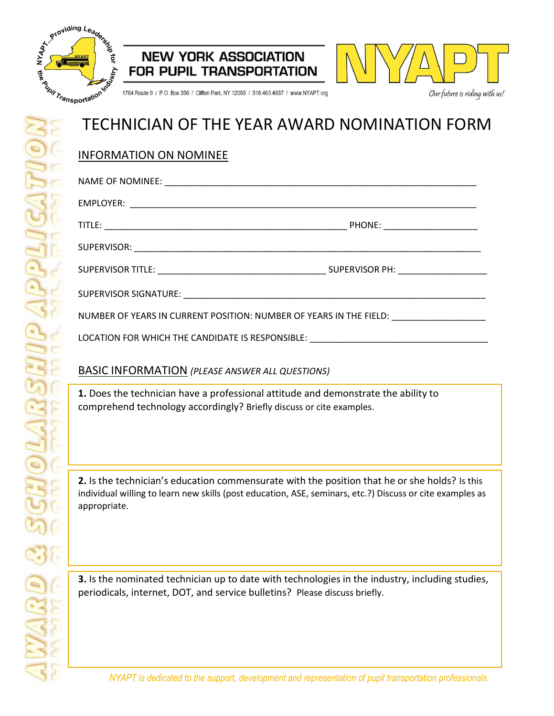





1764 Route 9 / P.O. Box 356 / Clifton Park, NY 12065 / 518.463.4937 / www.NYAPT.org

# TECHNICIAN OF THE YEAR AWARD NOMINATION FORM

## INFORMATION ON NOMINEE

| NUMBER OF YEARS IN CURRENT POSITION: NUMBER OF YEARS IN THE FIELD: |  |  |
|--------------------------------------------------------------------|--|--|

LOCATION FOR WHICH THE CANDIDATE IS RESPONSIBLE: \_

## BASIC INFORMATION *(PLEASE ANSWER ALL QUESTIONS)*

**1.** Does the technician have a professional attitude and demonstrate the ability to comprehend technology accordingly? Briefly discuss or cite examples.

**2.** Is the technician's education commensurate with the position that he or she holds? Is this individual willing to learn new skills (post education, ASE, seminars, etc.?) Discuss or cite examples as appropriate.

**3.** Is the nominated technician up to date with technologies in the industry, including studies, periodicals, internet, DOT, and service bulletins? Please discuss briefly.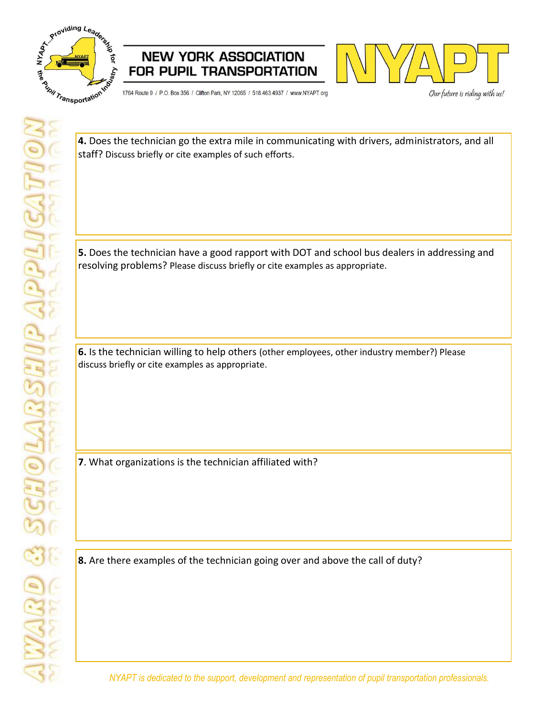

 $\overline{a}$ 





1764 Route 9 / P.O. Box 356 / Clifton Park, NY 12065 / 518.463.4937 / www.NYAPT.org

Our future is riding with us!

**4.** Does the technician go the extra mile in communicating with drivers, administrators, and all staff? Discuss briefly or cite examples of such efforts.

**5.** Does the technician have a good rapport with DOT and school bus dealers in addressing and resolving problems? Please discuss briefly or cite examples as appropriate.

**6.** Is the technician willing to help others (other employees, other industry member?) Please discuss briefly or cite examples as appropriate.

**7**. What organizations is the technician affiliated with?

**8.** Are there examples of the technician going over and above the call of duty?

*NYAPT is dedicated to the support, development and representation of pupil transportation professionals.*